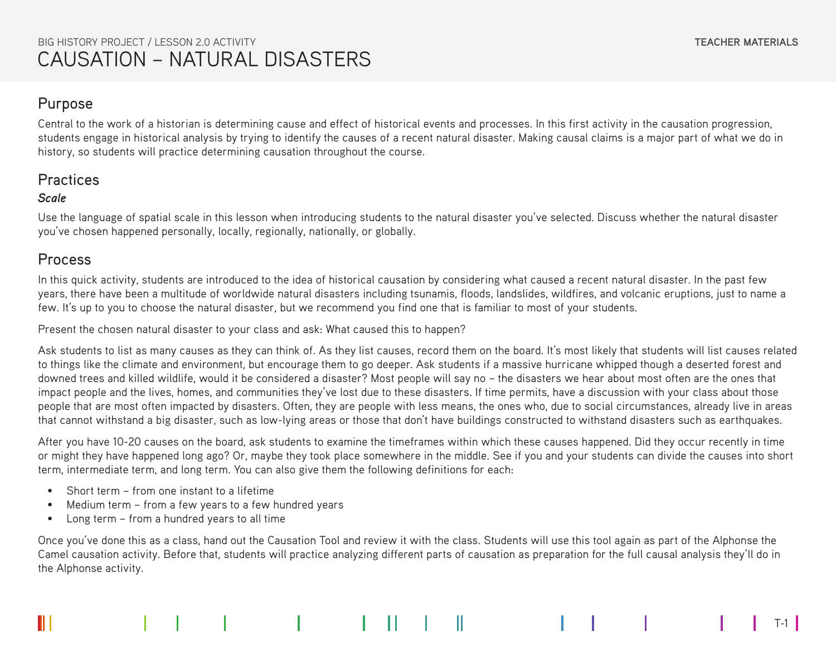### Purpose

Central to the work of a historian is determining cause and effect of historical events and processes. In this first activity in the causation progression, students engage in historical analysis by trying to identify the causes of a recent natural disaster. Making causal claims is a major part of what we do in history, so students will practice determining causation throughout the course.

## Practices

#### *Scale*

Use the language of spatial scale in this lesson when introducing students to the natural disaster you've selected. Discuss whether the natural disaster you've chosen happened personally, locally, regionally, nationally, or globally.

## Process

In this quick activity, students are introduced to the idea of historical causation by considering what caused a recent natural disaster. In the past few years, there have been a multitude of worldwide natural disasters including tsunamis, floods, landslides, wildfires, and volcanic eruptions, just to name a few. It's up to you to choose the natural disaster, but we recommend you find one that is familiar to most of your students.

Present the chosen natural disaster to your class and ask: What caused this to happen?

Ask students to list as many causes as they can think of. As they list causes, record them on the board. It's most likely that students will list causes related to things like the climate and environment, but encourage them to go deeper. Ask students if a massive hurricane whipped though a deserted forest and downed trees and killed wildlife, would it be considered a disaster? Most people will say no – the disasters we hear about most often are the ones that impact people and the lives, homes, and communities they've lost due to these disasters. If time permits, have a discussion with your class about those people that are most often impacted by disasters. Often, they are people with less means, the ones who, due to social circumstances, already live in areas that cannot withstand a big disaster, such as low-lying areas or those that don't have buildings constructed to withstand disasters such as earthquakes.

After you have 10-20 causes on the board, ask students to examine the timeframes within which these causes happened. Did they occur recently in time or might they have happened long ago? Or, maybe they took place somewhere in the middle. See if you and your students can divide the causes into short term, intermediate term, and long term. You can also give them the following definitions for each:

- Short term from one instant to a lifetime
- Medium term from a few years to a few hundred years
- Long term from a hundred years to all time

Once you've done this as a class, hand out the Causation Tool and review it with the class. Students will use this tool again as part of the Alphonse the Camel causation activity. Before that, students will practice analyzing different parts of causation as preparation for the full causal analysis they'll do in the Alphonse activity.

T-1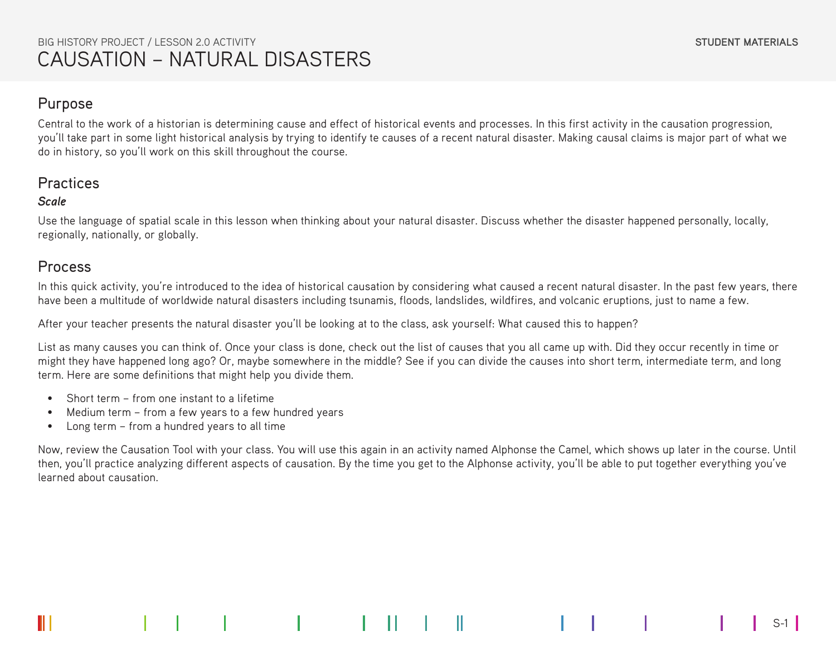### Purpose

Central to the work of a historian is determining cause and effect of historical events and processes. In this first activity in the causation progression, you'll take part in some light historical analysis by trying to identify te causes of a recent natural disaster. Making causal claims is major part of what we do in history, so you'll work on this skill throughout the course.

## **Practices**

#### *Scale*

Use the language of spatial scale in this lesson when thinking about your natural disaster. Discuss whether the disaster happened personally, locally, regionally, nationally, or globally.

### Process

In this quick activity, you're introduced to the idea of historical causation by considering what caused a recent natural disaster. In the past few years, there have been a multitude of worldwide natural disasters including tsunamis, floods, landslides, wildfires, and volcanic eruptions, just to name a few.

After your teacher presents the natural disaster you'll be looking at to the class, ask yourself: What caused this to happen?

List as many causes you can think of. Once your class is done, check out the list of causes that you all came up with. Did they occur recently in time or might they have happened long ago? Or, maybe somewhere in the middle? See if you can divide the causes into short term, intermediate term, and long term. Here are some definitions that might help you divide them.

- Short term from one instant to a lifetime
- Medium term from a few years to a few hundred years
- Long term from a hundred years to all time

Now, review the Causation Tool with your class. You will use this again in an activity named Alphonse the Camel, which shows up later in the course. Until then, you'll practice analyzing different aspects of causation. By the time you get to the Alphonse activity, you'll be able to put together everything you've learned about causation.

S-1